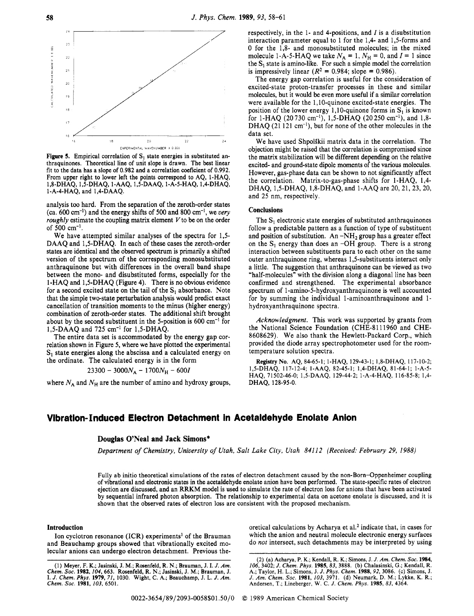

**Figure 5.** Empirical correlation of  $S_1$  state energies in substituted anthraquinones. Theoretical line of unit slope is drawn. The best linear fit to the data has a slope of 0.982 and a correlation coeficient of 0.992. From upper right to lower left the points correspond to AQ, 1-HAQ, 1 -A-4-HAQ, and 1,4-DAAQ. 1 ,8-DHAQ, 1,5-DHAQ, 1-AAQ, 1,5-DAAQ, l-A-5-HAQ, 1,4-DHAQ,

analysis too hard. From the separation of the zeroth-order states (ca. 600 cm-I) and the energy shifts of 500 and 800 cm-', we *very roughly* estimate the coupling matrix element  $V$  to be on the order of 500  $cm^{-1}$ .

We have attempted similar analyses of the spectra for 1,5- DAAQ and 1,5-DHAQ. **In** each of these cases the zeroth-order states are identical and the observed spectrum is primarily a shifted version of the spectrum of the corresponding monosubstituted anthraquinone but with differences in the overall band shape between the mono- and disubstituted forms, especially for the 1-HAQ and 1,5-DHAQ (Figure 4). There is no obvious evidence for a second excited state on the tail of the  $S_1$  absorbance. Note that the simple two-state perturbation analysis would predict exact cancellation of transition moments to the minus (higher energy) combination of zeroth-order states. The additional shift brought about by the second substituent in the 5-position is  $600 \text{ cm}^{-1}$  for 1,5-DAAQ and 725 cm<sup>-1</sup> for 1,5-DHAQ.

The entire data set is accommodated by the energy gap correlation shown in Figure 5, where we have plotted the experimental S<sub>1</sub> state energies along the abscissa and a calculated energy on the ordinate. The calculated energy is in the form

 $23300 - 3000N_A - 1700N_H - 600I$ 

where  $N_A$  and  $N_H$  are the number of amino and hydroxy groups,

respectively, in the 1- and 4-positions, and *I* is a disubstitution interaction parameter equal to 1 for the 1,4- and 1,5-forms and 0 for the 1,8- and monosubstituted molecules; in the mixed molecule 1-A-5-HAQ we take  $N_A = 1$ ,  $N_H = 0$ , and  $I = 1$  since the  $S_1$  state is amino-like. For such a simple model the correlation is impressively linear  $(R^2 = 0.984$ ; slope = 0.986).

The energy gap correlation is useful for the consideration of excited-state proton-transfer processes in these and similar molecules, but it would be even more useful if a similar correlation were available for the 1,10-quinone excited-state energies. The position of the lower energy 1,10-quinone forms in  $S_1$  is known for 1-HAQ (20730 cm<sup>-1</sup>), 1,5-DHAQ (20250 cm<sup>-1</sup>), and 1,8-DHAQ (21 121 cm<sup>-1</sup>), but for none of the other molecules in the data set.

We have used Shpolskii matrix data in the correlation. The objection might be raised that the correlation is compromised since the matrix stabilization will be different depending on the relative excited- and ground-state dipole moments of the various molecules. However, gas-phase data can be shown to not significantly affect the correlation. Matrix-to-gas-phase shifts for 1 -HAQ, 1,4- DHAQ, 1,5-DHAQ, 1,8-DHAQ, and 1-AAQ are 20, 21, 23, 20, and 25 nm, respectively.

#### **Conclusions**

The  $S_1$  electronic state energies of substituted anthraquinones follow a predictable pattern as a function of type of substituent and position of substitution. An  $-NH_2$  group has a greater effect on the  $S_1$  energy than does an -OH group. There is a strong interaction between substituents para to each other on the same outer anthraquinone ring, whereas 1,5-substituents interact only a little. The suggestion that anthraquinone can be viewed as two "half-molecules" with the division along a diagonal line has been confirmed and strengthened. The experimental absorbance spectrum of 1 **-amino-5-hydroxyanthraquinone** is well accounted for by summing the individual 1-aminoanthraquinone and 1 hydroxyanthraquinone spectra.

*Acknowledgment.* This work was supported by grants from the National Science Foundation (CHE-8111960 and CHE-8608629). We also thank the Hewlett-Packard Corp., which provided the diode array spectrophotometer used for the roomtemperature solution spectra.

**Registry NO.** AQ, 84-65-1; 1-HAQ, 129-43-1; 1,8-DHAQ, 117-10-2; 1,5-DHAQ, 117-12-4; 1-AAQ, 82-45-1; 1,4-DHAQ, 81-64-1; 1-A-5- HAQ, **7** 1502-46-0; 1,5-DAAQ, 129-44-2; 1-A-4-HAQ, 1 16-85-8; 1,4- DHAQ, 128-95-0.

## **Vibration-Induced Electron Detachment in Acetaldehyde Enoiate Anlon**

#### **Douglas O'Neal and Jack Simons\***

*Department of Chemistry, University of Utah, Salt Lake City, Utah 84112 (Received: February 29, 1988)* 

Fully ab initio theoretical simulations of the rates of electron detachment caused by the non-Born-Oppenheimer coupling of vibrational and electronic states in the acetaldehyde enolate anion have been performed. The state-specific rates of electron ejection are discussed, and an **RRKM** model is used to simulate the rate of electron loss for anions that have been activated by sequential infrared photon absorption. The relationship to experimental data on acetone enolate is discussed, and it is shown that the observed rates of electron loss are consistent with the proposed mechanism.

#### **Introduction**

Ion cyclotron resonance (ICR) experiments' of the Brauman and Beauchamp groups showed that vibrationally excited molecular anions can undergo electron detachment. Previous theoretical calculations by Acharya et al.<sup>2</sup> indicate that, in cases for which the anion and neutral molecule electronic energy surfaces do *not* intersect, such detachments may be interpreted by using

<sup>(1)</sup> Meyer, F. K.; Jasinski, J. **M.;** Rosenfeld, R. N.; Brauman, J. I. *J. Am. Chem. SOC.* 1982,104,663. Rosenfeld, R. N.; Jasinski, J. **M.;** Brauman, J. I. *J. Chem. Phys.* 1979, 71, 1030. Wight, C. A.; Beauchamp, J. L. *J. Am. Chem. SOC.* 1981, *103,* 6501.

<sup>(2) (</sup>a) Acharya, P. K.; Kendall, R. K.; Simons, J. *J. Am. Chem. Soc.* 1984, *106,* 3402; *J. Chem. Phys.* 1985,83, 3888. **(b)** Chalasinski, G.; Kendall, R. **A,;** Taylor, **H. L.;** Simons, **J.** *J. Phys. Chem.* 1988, *92,* 3086. (c) Simons, J. *J. Am. Chem. SOC.* 1981, 103, 3971. (d) Neumark, D. **M.;** Lykke, K. R.; Andersen, T.; Lineberger, **W.** C. *J. Chem. Phys.* 1985, 83, **4364.**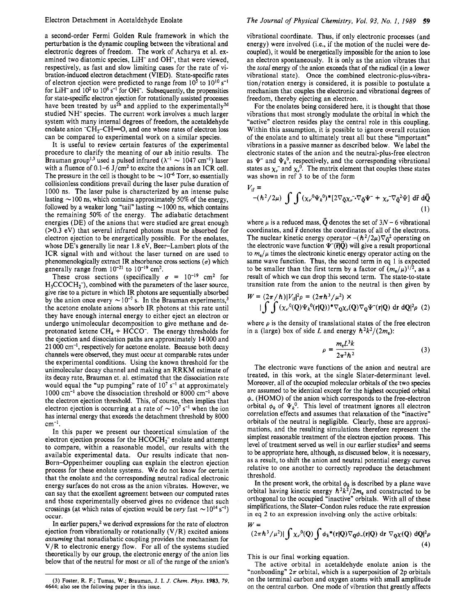a second-order Fermi Golden Rule framework in which the perturbation is the dynamic coupling between the vibrational and electronic degrees of freedom. The work of Acharya et al. examined two diatomic species, LiH- and OH-, that were viewed, respectively, as fast and slow limiting cases for the rate of vibration-induced electron detachment (VIED). State-specific rates of electron ejection were predicted to range from  $10^5$  to  $10^{10}$  s<sup>-1</sup> for LiH<sup>-</sup> and  $10^2$  to  $10^6$  s<sup>-1</sup> for OH<sup>-</sup>. Subsequently, the propensities for state-specific electron ejection for rotationally assisted processes have been treated by us<sup>2b</sup> and applied to the experimentally<sup>2d</sup> studied NH- species. The current work involves a much larger system with many internal degrees of freedom, the acetaldehyde enolate anion  $\text{-CH}$  $\rightarrow$  $\text{-CH}$  $\equiv$ O, and one whose rates of electron loss can be compared to experimental work on a similar species.

It is useful to review certain features of the experimental procedure to clarify the meaning of our ab initio results. The Brauman group<sup>1,3</sup> used a pulsed infrared  $(\lambda^{-1} \sim 1047 \text{ cm}^{-1})$  laser with a fluence of  $0.1-6$  J/cm<sup>2</sup> to excite the anions in an ICR cell. The pressure in the cell is thought to be  $\sim 10^{-6}$  Torr, so essentially collisionless conditions prevail during the laser pulse duration of 1000 ns. The laser pulse is characterized by an intense pulse 1000 ns. The laser pulse is characterized by an intense pulse lasting  $\sim$  100 ns, which contains approximately 50% of the energy, lasting  $\sim$  100 ns, which contains approximately 50% of the energy, followed by a weaker long "tail" lasting  $\sim$  1000 ns, which contains the remaining *50%* of the energy. The adiabatic detachment energies (DE) of the anions that were studied are great enough (>0.3 eV) that several infrared photons must be absorbed for electron ejection to be energetically possible. For the enolates, whose DE's generally lie near 1.8 eV, Beer-Lambert plots of the ICR signal with and without the laser turned on are used to phenomenologically extract IR absorbance cross sections  $(\sigma)$  which generally range from  $10^{-21}$  to  $10^{-19}$  cm<sup>2</sup>.

These cross sections (specifically  $\sigma = 10^{-19}$  cm<sup>2</sup> for  $H_3CCOCH_2^-$ , combined with the parameters of the laser source, give rise to a picture in which IR photons are sequentially absorbed by the anion once every  $\sim 10^{-7}$  s. In the Brauman experiments,<sup>3</sup> the acetone enolate anions absorb IR photons at this rate until they have enough internal energy to either eject an electron or undergo unimolecular decomposition to give methane and deprotonated ketene  $CH_4 + HCCO^-$ . The energy thresholds for the ejection and dissociation paths are approximately 14 000 and 21 000 cm-I, respectively for acetone enolate. Because both decay channels were observed, they must occur at comparable rates under the experimental conditions. Using the known threshold for the unimolecular decay channel and making an RRKM estimate of its decay rate, Brauman et. al. estimated that the dissociation rate would equal the "up pumping" rate of 10<sup>7</sup> s<sup>-1</sup> at approximately  $1000 \text{ cm}^{-1}$  above the dissociation threshold or 8000 cm<sup>-1</sup> above the electron ejection threshold. This, of course, then implies that electron ejection is occurring at a rate of  $\sim 10^7$  s<sup>-1</sup> when the ion has internal energy that exceeds the detachment threshold by 8000  $cm^{-1}$ .

In this paper we present our theoretical simulation of the electron ejection process for the  $HCOCH_2^-$  enolate and attempt to compare, within a reasonable model, our results with the available experimental data. Our results indicate that non-Born-Oppenheimer coupling can explain the electron ejection process for these enolate systems. We do not know for certain that the enolate and the corresponding neutral radical electronic energy surfaces do not cross as the anion vibrates. However, we can say that the excellent agreement between our computed rates and those experimentally observed gives no evidence that such crossings (at which rates of ejection would be *very* fast  $\sim 10^{14}$  s<sup>-1</sup>) occur.

In earlier papers,<sup>2</sup> we derived expressions for the rate of electron ejection from vibrationally or rotationally  $(V/R)$  excited anions assuming that nonadiabatic coupling provides the mechanism for V/R to electronic energy flow. For all of the systems studied theoretically by our group, the electronic energy of the anion lies below that of the neutral for most or all of the range of the anion's vibrational coordinate. Thus, if only electronic processes (and energy) were involved (i.e., if the motion of the nuclei were decoupled), it would be energetically impossible for the anion to lose an electron spontaneously. It is only as the anion vibrates that the total energy of the anion exceeds that of the radical (in a lower vibrational state). Once the combined electronic-plus-vibration/rotation energy is considered, it is possible to postulate a mechanism that couples the electronic and vibrational degrees of freedom, thereby ejecting an electron.

For the enolates being considered here, it is thought that those vibrations that most strongly modulate the orbital in which the "active" electron resides play the central role in this coupling. Within this assumption, it is possible to ignore overall rotation of the enolate and to ultimately treat all but these "important" vibrations in a passive manner as described below. We label the electronic states of the anion and the neutral-plus-free electron as  $\Psi^-$  and  $\Psi_k^0$ , respectively, and the corresponding vibrational states as  $\chi_{\nu}^{-}$  and  $\chi_{\nu}^{0}$ . The matrix element that couples these states was shown in ref 3 to be of the form

$$
V_{\text{if}} =
$$
  
-( $\hbar^2/2\mu$ )  $\int \int (\chi_{\nu}^0 \Psi_k^0)^* [2\nabla_{\bar{Q}} \chi_{\nu}^-\nabla_{\bar{Q}} \Psi^- + \chi_{\nu}^-\nabla_{\bar{Q}}^2 \Psi]$  d**r̂** d $\bar{Q}$   
(1)

where  $\mu$  is a reduced mass,  $\ddot{Q}$  denotes the set of  $3N - 6$  vibrational coordinates, and  $\vec{r}$  denotes the coordinates of all of the electrons. The nuclear kinetic energy operator  $-(h^2/2\mu)\nabla_{\bar{\Omega}}^2$  operating on the electronic wave function  $\Psi(\vec{r}|\vec{Q})$  will give a result proportional to  $m_e/\mu$  times the electronic kinetic energy operator acting on the same wave function. Thus, the second term in eq 1 is expected to be smaller than the first term by a factor of  $(m_e/\mu)^{1/2}$ , as a result of which we can drop this second term. The state-to-state transition rate from the anion to the neutral is then given by

$$
W = (2\pi/\hbar)|V_{\text{if}}|^2 \rho = (2\pi\hbar^3/\mu^2) \times
$$
  
 
$$
|\int \int (x_r^0(Q)\Psi_k^0(r|Q))^* \nabla_Q \chi_r(Q) \nabla_Q \Psi^-(r|Q) \text{ dr } dQ|^2 \rho
$$
 (2)

where  $\rho$  is the density of translational states of the free electron in a (large) box of side *L* and energy  $\hbar^2 k^2/(2m_e)$ :

$$
\rho = \frac{m_e L^3 k}{2\pi^2 \hbar^2} \tag{3}
$$

The electronic wave functions of the anion and neutral are treated, in this work, at the single Slater-determinant level. Moreover, all of the occupied molecular orbitals of the two species are assumed to be identical except for the highest occupied orbital **4-** (HOMO) of the anion which corresponds to the free-electron orbital  $\phi_k$  of  $\Psi_k^0$ . This level of treatment ignores all electron correlation effects and assumes that relaxation of the "inactive" orbitals of the neutral is negligible. Clearly, these are approximations, and the resulting simulations therefore represent the simplest reasonable treatment of the electron ejection process. This level of treatment served us well in our earlier studies<sup>2</sup> and seems to be appropriate here, although, as discussed below, it is necessary, as a result, to shift the anion and neutral potential energy curves relative to one another to correctly reproduce the detachment threshold.

In the present work, the orbital  $\phi_k$  is described by a plane wave orbital having kinetic energy  $\hbar^2 k^2/2m_e$  and constructed to be orthogonal to the occupied "inactive" orbitals. With all of these simplifications, the Slater-Condon rules reduce the rate expression in eq 2 to an expression involving only the active orbitals: *W=* 

$$
\mathcal{W} =
$$
  

$$
(2\pi\hbar^3/\mu^2)|\int \chi_{\nu}^0(Q)\int \phi_k^*(\mathbf{r}|Q)\nabla_Q\phi_-(\mathbf{r}|Q) d\mathbf{r} \nabla_Q\chi(Q) dQ|^2\rho
$$
  
(4)

This is our final working equation.

The active orbital in acetaldehyde enolate anion is the "nonbonding"  $2\pi$  orbital, which is a superposition of 2p orbitals on the terminal carbon and oxygen atoms with small amplitude on the central carbon. One mode of vibration that greatly affects

**<sup>(3)</sup> Foster, R. F.; Turnas, W.; Braurnan, J. I.** *J. Chem. Phys.* **1983,** *79,*  **4644; also see the following paper in this issue.**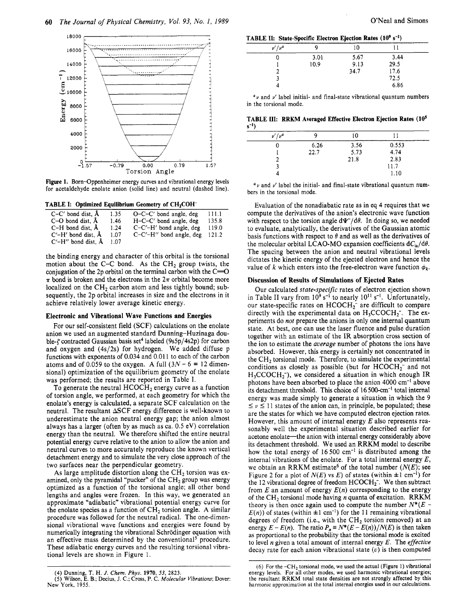

Figure 1. Born-Oppenheimer energy curves and vibrational energy levels for acetaldehyde enolate anion (solid line) and neutral (dashed line).

TABLE I: Optimized Equilibrium Geometry of CH<sub>2</sub>COH<sup>-</sup>

| $C-C'$ bond dist, $\AA$       | 1.35 | $O-C-C'$ bond angle, deg  | 111.1 |
|-------------------------------|------|---------------------------|-------|
| $C-O$ bond dist. $\AA$        | 1.46 | $H-C-C'$ bond angle, deg  | 135.8 |
| $C-H$ bond dist. $\AA$        | 1.24 | $C-C'-H'$ bond angle, deg | 119.0 |
| $C'$ – $H'$ bond dist, $\AA$  | 1.07 | C-C'-H" bond angle, deg   | 121.2 |
| $C'$ – $H''$ bond dist, $\AA$ | 1.07 |                           |       |

the binding energy and character of this orbital is the torsional motion about the C-C bond. As the  $CH<sub>2</sub>$  group twists, the conjugation of the 2p orbital on the terminal carbon with the  $C=O$  $\pi$  bond is broken and the electrons in the  $2\pi$  orbital become more localized on the  $CH<sub>2</sub>$  carbon atom and less tightly bound; subsequently, the 2p orbital increases in size and the electrons in it achieve relatively lower average kinetic energy.

#### **Electronic and Vibrational Wave Functions and Energies**

For our self-consistent field (SCF) calculations on the enolate anion we used an augmented standard Dunning-Huzinaga double- $\zeta$  contracted Gaussian basis set<sup>4</sup> labeled (9s5p/4s2p) for carbon and oxygen and (4s/2s) for hydrogen. We added diffuse p functions with exponents of 0.034 and 0.011 to each of the carbon atoms and of 0.059 to the oxygen. A full  $(3N-6 = 12$  dimensional) optimization of the equilibrium geometry of the enolate was performed; the results are reported in Table I.

To generate the neutral  $HCOCH<sub>2</sub>$  energy curve as a function of torsion angle, we performed, at each geometry for which the enolate's energy is calculated, a separate SCF calculation on the neutral. The resultant  $\Delta$ SCF energy difference is well-known to underestimate the anion neutral energy gap; the anion almost always has a larger (often by as much as ca. 0.5 eV) correlation energy than the neutral. We therefore shifted the entire neutral potential energy curve relative to the anion to allow the anion and neutral curves to more accurately reproduce the known vertical detachment energy and to simulate the very close approach of the two surfaces near the perpendicular geometry.

As large amplitude distortion along the  $CH<sub>2</sub>$  torsion was examined, only the pyramidal "pucker" of the CH<sub>2</sub> group was energy optimized as a function of the torsional angle; all other bond lengths and angles were frozen. In this way, we generated an approximate "adiabatic" vibrational potential energy curve for the enolate species as a function of  $CH<sub>2</sub>$  torsion angle. A similar procedure was followed for the neutral radical. The one-dimensional vibrational wave functions and energies were found by numerically integrating the vibrational Schrödinger equation with an effective mass determined by the conventional<sup>5</sup> procedure. These adiabatic energy curves and the resulting torsional vibrational levels are shown in Figure 1.

~ ~ ~~~

**(4)** Dunning, T. H. *J. Chem. Phys.* **1970, 53,** 2823. *(5)* Wilson, E. B.; Decius, J. C.; Cross, **P.** C. *Molecular Vibrations;* Dover: **New** York, **1955.** 

TABLE II: State-Specific Electron Ejection Rates (10<sup>9</sup> s<sup>-1</sup>)

|              |  | .    |      |      |  |
|--------------|--|------|------|------|--|
| $\nu'/\nu^a$ |  |      | 10   |      |  |
|              |  | 3.01 | 5.67 | 3.44 |  |
|              |  | 109  | 9.13 | 29.5 |  |
|              |  |      | 34.7 | 17.6 |  |
|              |  |      |      | 72.5 |  |
|              |  |      |      | 6.86 |  |
|              |  |      |      |      |  |

 $a<sub>y</sub>$  and  $y'$  label initial- and final-state vibrational quantum numbers in the torsional mode.

**TABLE 111: RRKM Averaged Effective Electron Ejection Rates (10' S'1)** 

| $\nu'/\nu^a$ |      | 10   |       |  |
|--------------|------|------|-------|--|
|              | 6.26 | 3.56 | 0.553 |  |
|              | 22.7 | 5.73 | 4.74  |  |
|              |      | 21.8 | 2.83  |  |
|              |      |      | 11.7  |  |
|              |      |      | 1.10  |  |
|              |      |      |       |  |

*"Y* and *u'* label the initial- and final-state vibrational quantum **num**bers in the torsional mode.

Evaluation of the nonadiabatic rate as in eq 4 requires that we compute the derivatives of the anion's electronic wave function with respect to the torsion angle  $d\Psi^{-}/d\theta$ . In doing so, we needed to evaluate, analytically, the derivatives of the Gaussian atomic basis functions with respect to  $\theta$  and as well as the derivatives of the molecular orbital LCAO-MO expansion coefficients  $dC_{ia}/d\theta$ . The spacing between the anion and neutral vibrational levels dictates the kinetic energy of the ejected electron and hence the value of *k* which enters into the free-electron wave function  $\phi_k$ .

#### **Discussion of Results of Simulations of Ejected Rates**

Our calculated *state-specific* rates of electron ejection shown in Table II vary from  $10^9$  s<sup>-1</sup> to nearly  $10^{11}$  s<sup>-1</sup>. Unfortunately, our state-specific rates on  $HCOCH_2^-$  are difficult to compare directly with the experimental data on  $H_3CCOCH_2^-$ . The experiments do *not* prepare the anions in only one internal quantum state. At best, one can use the laser fluence and pulse duration together with an estimate of the IR absorption cross section of the ion to estimate the *average* number of photons the ions have absorbed. However, this energy is certainly not concentrated in the CH<sub>2</sub> torsional mode. Therefore, to simulate the experimental conditions as closely as possible (but for  $HCOCH_2^-$  and not  $H_3CCOCH_2^-$ , we considered a situation in which enough IR photons have been absorbed to place the anion 4000 cm<sup>-1</sup> above its detachment threshold. This choice of 16 50O-cm-' total internal energy was made simply to generate a situation in which the 9  $\leq \nu \leq 11$  states of the anion can, in principle, be populated; these are the states for which we have computed electron ejection rates. However, this amount of internal energy *E* also represents reasonably well the experimental situation described earlier for acetone enolate—the anion with internal energy considerably above its detachment threshold. We used an RRKM model to describe how the total energy of  $16500 \text{ cm}^{-1}$  is distributed among the internal vibrations of the enolate. For a total internal energy *E,*  we obtain an RRKM estimate<sup>6</sup> of the total number  $(N(E))$ ; see Figure 2 for a plot of  $N(E)$  vs  $E$ ) of states (within  $\pm 1$  cm<sup>-1</sup>) for the 12 vibrational degree of freedom  $HCOCH<sub>2</sub>$ . We then subtract from  $E$  an amount of energy  $E(n)$  corresponding to the energy of the CH<sub>2</sub> torsional mode having *n* quanta of excitation. RRKM theory is then once again used to compute the number  $N^*(E E(n)$ ) of states (within  $\pm 1$  cm<sup>-1</sup>) for the 11 remaining vibrational degrees of freedom (i.e., with the  $CH<sub>2</sub>$  torsion removed) at an energy  $E - E(n)$ . The ratio  $P_n \equiv N^*(E - E(n))/N(E)$  is then taken as proportional to the probability that the torsional mode is excited to level *n* given a total amount of internal energy *E.* The *effective*  decay rate for each anion vibrational state *(u)* is then computed

*<sup>(6)</sup>* For the **-CH2** torsional mode, we **used** the actual (Figure **1)** vibrational energy levels. For all other modes, we used harmonic vibrational energies; the resultant RRKM total state densities are not strongly affected by this harmonic approximation at the total internal energies **used** in our calculations.